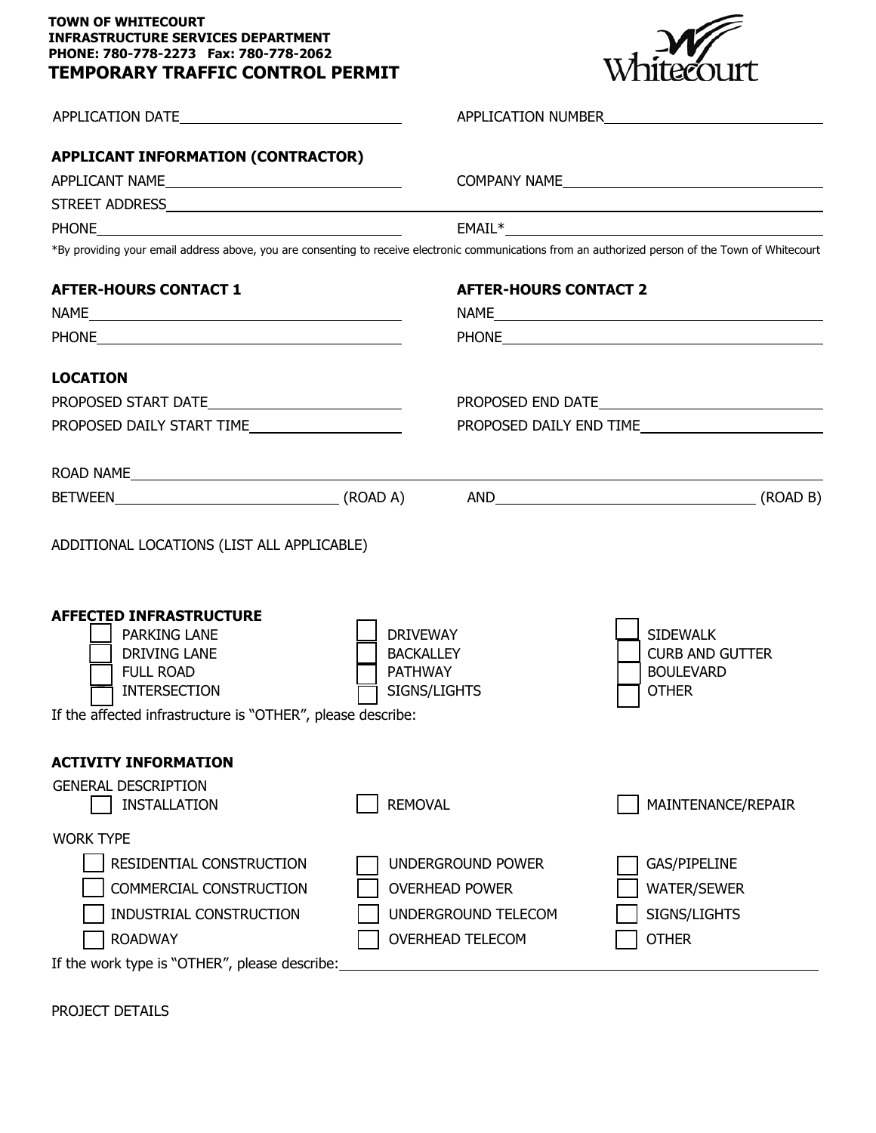## **TOWN OF WHITECOURT INFRASTRUCTURE SERVICES DEPARTMENT PHONE: 780-778-2273 Fax: 780-778-2062 TEMPORARY TRAFFIC CONTROL PERMIT**



|                                                                                                                                                                                                                                                                                                               |                | APPLICATION NUMBER                                                                                                                                                                                                                   |                                                                               |  |  |
|---------------------------------------------------------------------------------------------------------------------------------------------------------------------------------------------------------------------------------------------------------------------------------------------------------------|----------------|--------------------------------------------------------------------------------------------------------------------------------------------------------------------------------------------------------------------------------------|-------------------------------------------------------------------------------|--|--|
| <b>APPLICANT INFORMATION (CONTRACTOR)</b>                                                                                                                                                                                                                                                                     |                | COMPANY NAME<br>$EMAIL*$                                                                                                                                                                                                             |                                                                               |  |  |
| <u> 1980 - Johann Barn, mars ann an t-Amhain Aonaich an t-Aonaich an t-Aonaich ann an t-Aonaich ann an t-Aonaich</u><br><b>PHONE</b>                                                                                                                                                                          |                |                                                                                                                                                                                                                                      |                                                                               |  |  |
| *By providing your email address above, you are consenting to receive electronic communications from an authorized person of the Town of Whitecourt                                                                                                                                                           |                |                                                                                                                                                                                                                                      |                                                                               |  |  |
| <b>AFTER-HOURS CONTACT 1</b>                                                                                                                                                                                                                                                                                  |                | <b>AFTER-HOURS CONTACT 2</b>                                                                                                                                                                                                         |                                                                               |  |  |
|                                                                                                                                                                                                                                                                                                               |                |                                                                                                                                                                                                                                      |                                                                               |  |  |
|                                                                                                                                                                                                                                                                                                               |                | PHONE <b>And All And All And All And All And All And All And All And All And All And All And All And All And All And All And All And All And All And All And All And All And All And All And All And All And All And All And All</b> |                                                                               |  |  |
| <b>LOCATION</b>                                                                                                                                                                                                                                                                                               |                |                                                                                                                                                                                                                                      |                                                                               |  |  |
|                                                                                                                                                                                                                                                                                                               |                |                                                                                                                                                                                                                                      |                                                                               |  |  |
| PROPOSED DAILY START TIME                                                                                                                                                                                                                                                                                     |                | PROPOSED DAILY END TIME                                                                                                                                                                                                              |                                                                               |  |  |
| ROAD NAMELAND AND THE CONTROL CONTROL CONTROL CONTROL CONTROL CONTROL CONTROL CONTROL CONTROL CONTROL CONTROL CONTROL CONTROL CONTROL CONTROL CONTROL CONTROL CONTROL CONTROL CONTROL CONTROL CONTROL CONTROL CONTROL CONTROL                                                                                 |                |                                                                                                                                                                                                                                      |                                                                               |  |  |
|                                                                                                                                                                                                                                                                                                               |                |                                                                                                                                                                                                                                      |                                                                               |  |  |
| ADDITIONAL LOCATIONS (LIST ALL APPLICABLE)<br><b>AFFECTED INFRASTRUCTURE</b><br><b>DRIVEWAY</b><br><b>PARKING LANE</b><br><b>BACKALLEY</b><br><b>DRIVING LANE</b><br><b>FULL ROAD</b><br><b>PATHWAY</b><br>SIGNS/LIGHTS<br><b>INTERSECTION</b><br>If the affected infrastructure is "OTHER", please describe: |                |                                                                                                                                                                                                                                      | <b>SIDEWALK</b><br><b>CURB AND GUTTER</b><br><b>BOULEVARD</b><br><b>OTHER</b> |  |  |
|                                                                                                                                                                                                                                                                                                               |                |                                                                                                                                                                                                                                      |                                                                               |  |  |
| <b>ACTIVITY INFORMATION</b><br><b>GENERAL DESCRIPTION</b><br><b>INSTALLATION</b>                                                                                                                                                                                                                              | <b>REMOVAL</b> |                                                                                                                                                                                                                                      | MAINTENANCE/REPAIR                                                            |  |  |
| <b>WORK TYPE</b><br>RESIDENTIAL CONSTRUCTION<br>COMMERCIAL CONSTRUCTION<br>INDUSTRIAL CONSTRUCTION<br><b>ROADWAY</b>                                                                                                                                                                                          |                | UNDERGROUND POWER<br><b>OVERHEAD POWER</b><br>UNDERGROUND TELECOM<br><b>OVERHEAD TELECOM</b>                                                                                                                                         | GAS/PIPELINE<br><b>WATER/SEWER</b><br>SIGNS/LIGHTS<br><b>OTHER</b>            |  |  |

If the work type is "OTHER", please describe:

PROJECT DETAILS